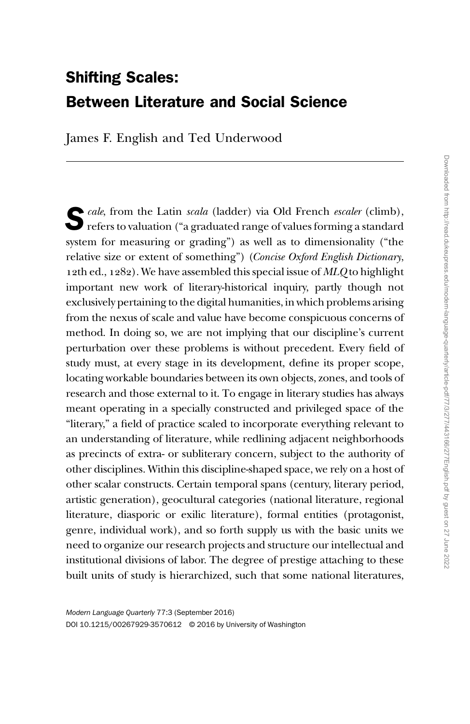## Shifting Scales: Between Literature and Social Science

James F. English and Ted Underwood

 $\int$  cale, from the Latin *scala* (ladder) via Old French *escaler* (climb),<br>refers to valuation ("a graduated range of values forming a standard system for measuring or grading") as well as to dimensionality ("the relative size or extent of something") (Concise Oxford English Dictionary, 12th ed., 1282). We have assembled this special issue of MLQ to highlight important new work of literary-historical inquiry, partly though not exclusively pertaining to the digital humanities, in which problems arising from the nexus of scale and value have become conspicuous concerns of method. In doing so, we are not implying that our discipline's current perturbation over these problems is without precedent. Every field of study must, at every stage in its development, define its proper scope, locating workable boundaries between its own objects, zones, and tools of research and those external to it. To engage in literary studies has always meant operating in a specially constructed and privileged space of the "literary," a field of practice scaled to incorporate everything relevant to an understanding of literature, while redlining adjacent neighborhoods as precincts of extra- or subliterary concern, subject to the authority of other disciplines. Within this discipline-shaped space, we rely on a host of other scalar constructs. Certain temporal spans (century, literary period, artistic generation), geocultural categories (national literature, regional literature, diasporic or exilic literature), formal entities (protagonist, genre, individual work), and so forth supply us with the basic units we need to organize our research projects and structure our intellectual and institutional divisions of labor. The degree of prestige attaching to these built units of study is hierarchized, such that some national literatures,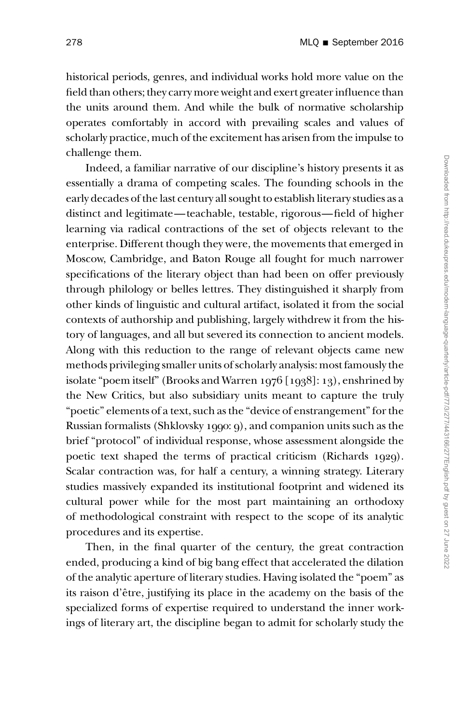historical periods, genres, and individual works hold more value on the field than others; they carry more weight and exert greater influence than the units around them. And while the bulk of normative scholarship operates comfortably in accord with prevailing scales and values of scholarly practice, much of the excitement has arisen from the impulse to challenge them.

Indeed, a familiar narrative of our discipline's history presents it as essentially a drama of competing scales. The founding schools in the early decades of the last century all sought to establish literary studies as a distinct and legitimate—teachable, testable, rigorous—field of higher learning via radical contractions of the set of objects relevant to the enterprise. Different though they were, the movements that emerged in Moscow, Cambridge, and Baton Rouge all fought for much narrower specifications of the literary object than had been on offer previously through philology or belles lettres. They distinguished it sharply from other kinds of linguistic and cultural artifact, isolated it from the social contexts of authorship and publishing, largely withdrew it from the history of languages, and all but severed its connection to ancient models. Along with this reduction to the range of relevant objects came new methods privileging smaller units of scholarly analysis: most famously the isolate "poem itself" (Brooks and Warren 1976 [1938]: 13), enshrined by the New Critics, but also subsidiary units meant to capture the truly "poetic" elements of a text, such as the "device of enstrangement" for the Russian formalists (Shklovsky 1990: 9), and companion units such as the brief "protocol" of individual response, whose assessment alongside the poetic text shaped the terms of practical criticism (Richards 1929). Scalar contraction was, for half a century, a winning strategy. Literary studies massively expanded its institutional footprint and widened its cultural power while for the most part maintaining an orthodoxy of methodological constraint with respect to the scope of its analytic procedures and its expertise.

Then, in the final quarter of the century, the great contraction ended, producing a kind of big bang effect that accelerated the dilation of the analytic aperture of literary studies. Having isolated the "poem" as its raison d'être, justifying its place in the academy on the basis of the specialized forms of expertise required to understand the inner workings of literary art, the discipline began to admit for scholarly study the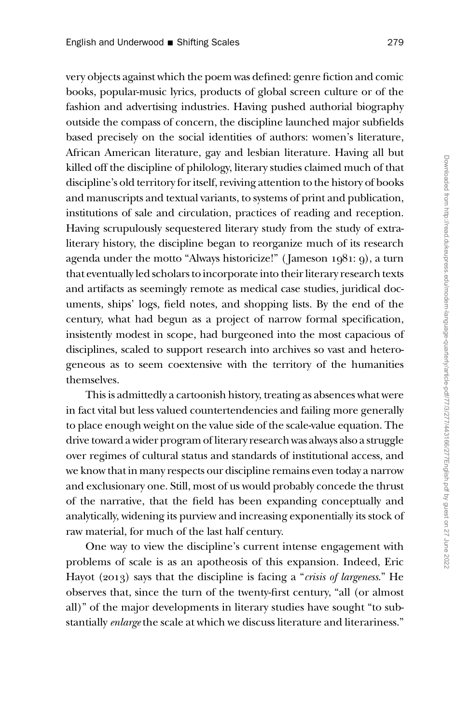very objects against which the poem was defined: genre fiction and comic books, popular-music lyrics, products of global screen culture or of the fashion and advertising industries. Having pushed authorial biography outside the compass of concern, the discipline launched major subfields based precisely on the social identities of authors: women's literature, African American literature, gay and lesbian literature. Having all but killed off the discipline of philology, literary studies claimed much of that discipline's old territory for itself, reviving attention to the history of books and manuscripts and textual variants, to systems of print and publication, institutions of sale and circulation, practices of reading and reception. Having scrupulously sequestered literary study from the study of extraliterary history, the discipline began to reorganize much of its research agenda under the motto "Always historicize!" ( Jameson 1981: 9), a turn that eventually led scholars to incorporate into their literary research texts and artifacts as seemingly remote as medical case studies, juridical documents, ships' logs, field notes, and shopping lists. By the end of the century, what had begun as a project of narrow formal specification, insistently modest in scope, had burgeoned into the most capacious of disciplines, scaled to support research into archives so vast and heterogeneous as to seem coextensive with the territory of the humanities themselves.

This is admittedly a cartoonish history, treating as absences what were in fact vital but less valued countertendencies and failing more generally to place enough weight on the value side of the scale-value equation. The drive toward a wider program of literary research was always also a struggle over regimes of cultural status and standards of institutional access, and we know that in many respects our discipline remains even today a narrow and exclusionary one. Still, most of us would probably concede the thrust of the narrative, that the field has been expanding conceptually and analytically, widening its purview and increasing exponentially its stock of raw material, for much of the last half century.

One way to view the discipline's current intense engagement with problems of scale is as an apotheosis of this expansion. Indeed, Eric Hayot (2013) says that the discipline is facing a "*crisis of largeness*." He observes that, since the turn of the twenty-first century, "all (or almost all)" of the major developments in literary studies have sought "to substantially enlarge the scale at which we discuss literature and literariness."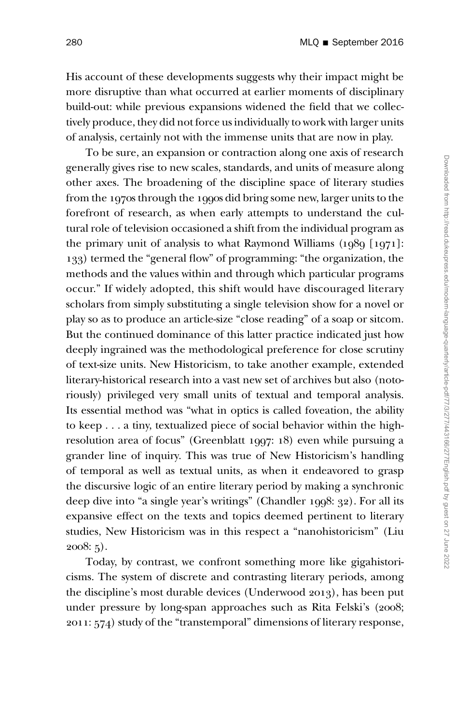His account of these developments suggests why their impact might be more disruptive than what occurred at earlier moments of disciplinary build-out: while previous expansions widened the field that we collectively produce, they did not force us individually to work with larger units of analysis, certainly not with the immense units that are now in play.

To be sure, an expansion or contraction along one axis of research generally gives rise to new scales, standards, and units of measure along other axes. The broadening of the discipline space of literary studies from the 1970s through the 1990s did bring some new, larger units to the forefront of research, as when early attempts to understand the cultural role of television occasioned a shift from the individual program as the primary unit of analysis to what Raymond Williams (1989 [1971]: 133) termed the "general flow" of programming: "the organization, the methods and the values within and through which particular programs occur." If widely adopted, this shift would have discouraged literary scholars from simply substituting a single television show for a novel or play so as to produce an article-size "close reading" of a soap or sitcom. But the continued dominance of this latter practice indicated just how deeply ingrained was the methodological preference for close scrutiny of text-size units. New Historicism, to take another example, extended literary-historical research into a vast new set of archives but also (notoriously) privileged very small units of textual and temporal analysis. Its essential method was "what in optics is called foveation, the ability to keep ...a tiny, textualized piece of social behavior within the highresolution area of focus" (Greenblatt 1997: 18) even while pursuing a grander line of inquiry. This was true of New Historicism's handling of temporal as well as textual units, as when it endeavored to grasp the discursive logic of an entire literary period by making a synchronic deep dive into "a single year's writings" (Chandler 1998: 32). For all its expansive effect on the texts and topics deemed pertinent to literary studies, New Historicism was in this respect a "nanohistoricism" (Liu 2008: 5).

Today, by contrast, we confront something more like gigahistoricisms. The system of discrete and contrasting literary periods, among the discipline's most durable devices (Underwood 2013), has been put under pressure by long-span approaches such as Rita Felski's (2008; 2011: 574) study of the "transtemporal" dimensions of literary response,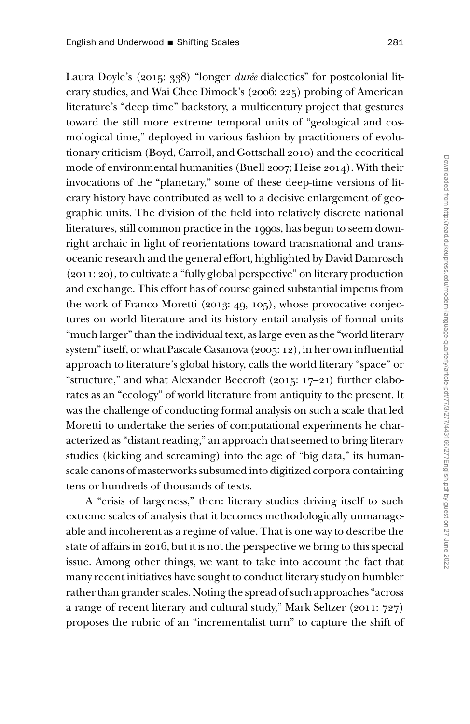Laura Doyle's (2015: 338) "longer *durée* dialectics" for postcolonial literary studies, and Wai Chee Dimock's (2006: 225) probing of American literature's "deep time" backstory, a multicentury project that gestures toward the still more extreme temporal units of "geological and cosmological time," deployed in various fashion by practitioners of evolutionary criticism (Boyd, Carroll, and Gottschall 2010) and the ecocritical mode of environmental humanities (Buell 2007; Heise 2014). With their invocations of the "planetary," some of these deep-time versions of literary history have contributed as well to a decisive enlargement of geographic units. The division of the field into relatively discrete national literatures, still common practice in the 1990s, has begun to seem downright archaic in light of reorientations toward transnational and transoceanic research and the general effort, highlighted by David Damrosch (2011: 20), to cultivate a "fully global perspective" on literary production and exchange. This effort has of course gained substantial impetus from the work of Franco Moretti (2013: 49, 105), whose provocative conjectures on world literature and its history entail analysis of formal units "much larger" than the individual text, as large even as the "world literary system"itself, or what Pascale Casanova (2005: 12), in her own influential approach to literature's global history, calls the world literary "space" or "structure," and what Alexander Beecroft (2015: 17–21) further elaborates as an "ecology" of world literature from antiquity to the present. It was the challenge of conducting formal analysis on such a scale that led Moretti to undertake the series of computational experiments he characterized as "distant reading," an approach that seemed to bring literary studies (kicking and screaming) into the age of "big data," its humanscale canons of masterworks subsumed into digitized corpora containing tens or hundreds of thousands of texts.

A "crisis of largeness," then: literary studies driving itself to such extreme scales of analysis that it becomes methodologically unmanageable and incoherent as a regime of value. That is one way to describe the state of affairs in 2016, but it is not the perspective we bring to this special issue. Among other things, we want to take into account the fact that many recent initiatives have sought to conduct literary study on humbler rather than grander scales. Noting the spread of such approaches"across a range of recent literary and cultural study," Mark Seltzer (2011: 727) proposes the rubric of an "incrementalist turn" to capture the shift of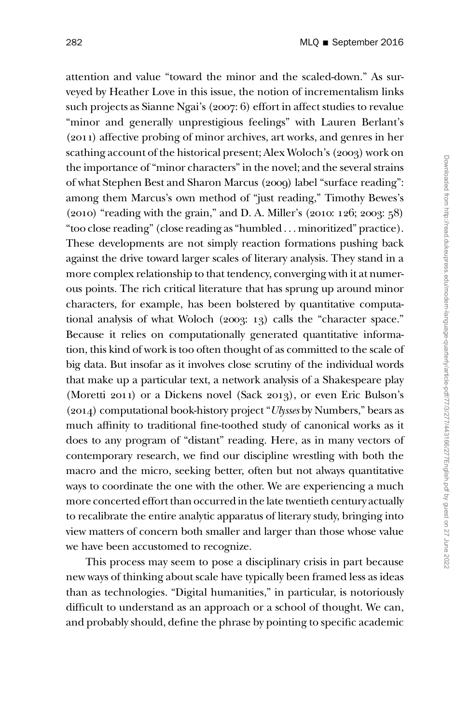attention and value "toward the minor and the scaled-down." As surveyed by Heather Love in this issue, the notion of incrementalism links such projects as Sianne Ngai's (2007: 6) effort in affect studies to revalue "minor and generally unprestigious feelings" with Lauren Berlant's (2011) affective probing of minor archives, art works, and genres in her scathing account of the historical present; Alex Woloch's (2003) work on the importance of"minor characters" in the novel; and the several strains of what Stephen Best and Sharon Marcus (2009) label "surface reading": among them Marcus's own method of "just reading," Timothy Bewes's (2010) "reading with the grain," and D. A. Miller's (2010: 126; 2003: 58) "too close reading" (close reading as"humbled . . . minoritized" practice). These developments are not simply reaction formations pushing back against the drive toward larger scales of literary analysis. They stand in a more complex relationship to that tendency, converging with it at numerous points. The rich critical literature that has sprung up around minor characters, for example, has been bolstered by quantitative computational analysis of what Woloch (2003: 13) calls the "character space." Because it relies on computationally generated quantitative information, this kind of work is too often thought of as committed to the scale of big data. But insofar as it involves close scrutiny of the individual words that make up a particular text, a network analysis of a Shakespeare play (Moretti 2011) or a Dickens novel (Sack 2013), or even Eric Bulson's  $(2014)$  computational book-history project "Ulysses by Numbers," bears as much affinity to traditional fine-toothed study of canonical works as it does to any program of "distant" reading. Here, as in many vectors of contemporary research, we find our discipline wrestling with both the macro and the micro, seeking better, often but not always quantitative ways to coordinate the one with the other. We are experiencing a much more concerted effort than occurred in the late twentieth century actually to recalibrate the entire analytic apparatus of literary study, bringing into view matters of concern both smaller and larger than those whose value we have been accustomed to recognize.

This process may seem to pose a disciplinary crisis in part because new ways of thinking about scale have typically been framed less as ideas than as technologies. "Digital humanities," in particular, is notoriously difficult to understand as an approach or a school of thought. We can, and probably should, define the phrase by pointing to specific academic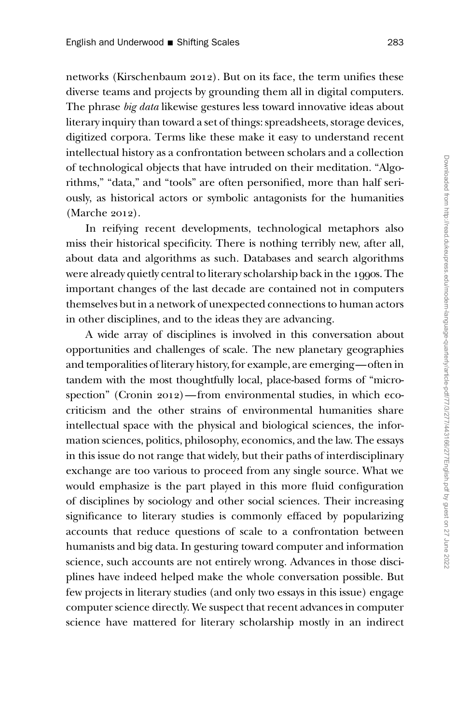networks (Kirschenbaum 2012). But on its face, the term unifies these diverse teams and projects by grounding them all in digital computers. The phrase big data likewise gestures less toward innovative ideas about literary inquiry than toward a set of things: spreadsheets, storage devices, digitized corpora. Terms like these make it easy to understand recent intellectual history as a confrontation between scholars and a collection of technological objects that have intruded on their meditation. "Algorithms," "data," and "tools" are often personified, more than half seriously, as historical actors or symbolic antagonists for the humanities (Marche 2012).

In reifying recent developments, technological metaphors also miss their historical specificity. There is nothing terribly new, after all, about data and algorithms as such. Databases and search algorithms were already quietly central to literary scholarship back in the 1990s. The important changes of the last decade are contained not in computers themselves but in a network of unexpected connections to human actors in other disciplines, and to the ideas they are advancing.

A wide array of disciplines is involved in this conversation about opportunities and challenges of scale. The new planetary geographies and temporalities of literary history, for example, are emerging—often in tandem with the most thoughtfully local, place-based forms of "microspection" (Cronin 2012)—from environmental studies, in which ecocriticism and the other strains of environmental humanities share intellectual space with the physical and biological sciences, the information sciences, politics, philosophy, economics, and the law. The essays in this issue do not range that widely, but their paths of interdisciplinary exchange are too various to proceed from any single source. What we would emphasize is the part played in this more fluid configuration of disciplines by sociology and other social sciences. Their increasing significance to literary studies is commonly effaced by popularizing accounts that reduce questions of scale to a confrontation between humanists and big data. In gesturing toward computer and information science, such accounts are not entirely wrong. Advances in those disciplines have indeed helped make the whole conversation possible. But few projects in literary studies (and only two essays in this issue) engage computer science directly. We suspect that recent advances in computer science have mattered for literary scholarship mostly in an indirect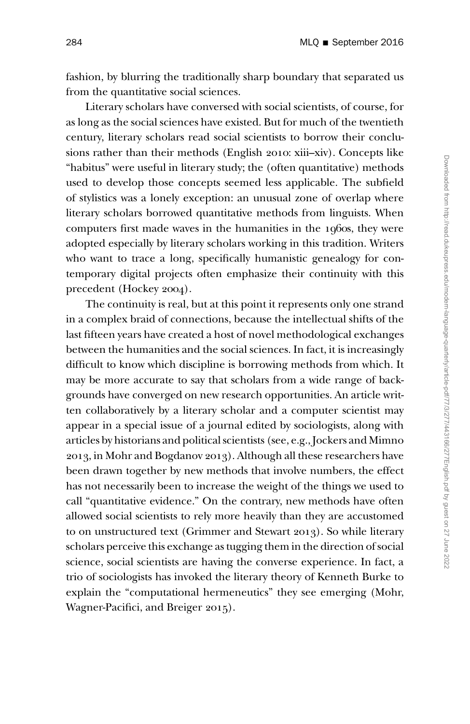fashion, by blurring the traditionally sharp boundary that separated us from the quantitative social sciences.

Literary scholars have conversed with social scientists, of course, for as long as the social sciences have existed. But for much of the twentieth century, literary scholars read social scientists to borrow their conclusions rather than their methods (English 2010: xiii–xiv). Concepts like "habitus" were useful in literary study; the (often quantitative) methods used to develop those concepts seemed less applicable. The subfield of stylistics was a lonely exception: an unusual zone of overlap where literary scholars borrowed quantitative methods from linguists. When computers first made waves in the humanities in the 1960s, they were adopted especially by literary scholars working in this tradition. Writers who want to trace a long, specifically humanistic genealogy for contemporary digital projects often emphasize their continuity with this precedent (Hockey 2004).

The continuity is real, but at this point it represents only one strand in a complex braid of connections, because the intellectual shifts of the last fifteen years have created a host of novel methodological exchanges between the humanities and the social sciences. In fact, it is increasingly difficult to know which discipline is borrowing methods from which. It may be more accurate to say that scholars from a wide range of backgrounds have converged on new research opportunities. An article written collaboratively by a literary scholar and a computer scientist may appear in a special issue of a journal edited by sociologists, along with articles by historians and political scientists (see, e.g., Jockers and Mimno 2013, in Mohr and Bogdanov 2013). Although all these researchers have been drawn together by new methods that involve numbers, the effect has not necessarily been to increase the weight of the things we used to call "quantitative evidence." On the contrary, new methods have often allowed social scientists to rely more heavily than they are accustomed to on unstructured text (Grimmer and Stewart 2013). So while literary scholars perceive this exchange as tugging them in the direction of social science, social scientists are having the converse experience. In fact, a trio of sociologists has invoked the literary theory of Kenneth Burke to explain the "computational hermeneutics" they see emerging (Mohr, Wagner-Pacifici, and Breiger 2015).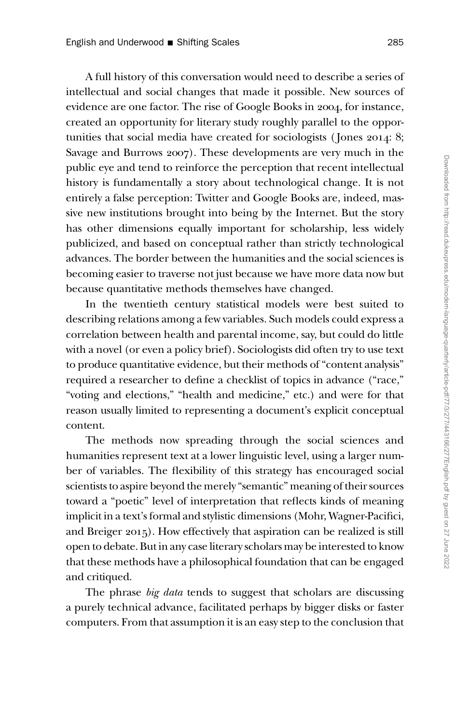A full history of this conversation would need to describe a series of intellectual and social changes that made it possible. New sources of evidence are one factor. The rise of Google Books in 2004, for instance, created an opportunity for literary study roughly parallel to the opportunities that social media have created for sociologists ( Jones 2014: 8; Savage and Burrows 2007). These developments are very much in the public eye and tend to reinforce the perception that recent intellectual history is fundamentally a story about technological change. It is not entirely a false perception: Twitter and Google Books are, indeed, massive new institutions brought into being by the Internet. But the story has other dimensions equally important for scholarship, less widely publicized, and based on conceptual rather than strictly technological advances. The border between the humanities and the social sciences is becoming easier to traverse not just because we have more data now but because quantitative methods themselves have changed.

In the twentieth century statistical models were best suited to describing relations among a few variables. Such models could express a correlation between health and parental income, say, but could do little with a novel (or even a policy brief). Sociologists did often try to use text to produce quantitative evidence, but their methods of "content analysis" required a researcher to define a checklist of topics in advance ("race," "voting and elections," "health and medicine," etc.) and were for that reason usually limited to representing a document's explicit conceptual content.

The methods now spreading through the social sciences and humanities represent text at a lower linguistic level, using a larger number of variables. The flexibility of this strategy has encouraged social scientists to aspire beyond the merely "semantic" meaning of their sources toward a "poetic" level of interpretation that reflects kinds of meaning implicit in a text's formal and stylistic dimensions (Mohr, Wagner-Pacifici, and Breiger 2015). How effectively that aspiration can be realized is still open to debate. But in any case literary scholars may be interested to know that these methods have a philosophical foundation that can be engaged and critiqued.

The phrase *big data* tends to suggest that scholars are discussing a purely technical advance, facilitated perhaps by bigger disks or faster computers. From that assumption it is an easy step to the conclusion that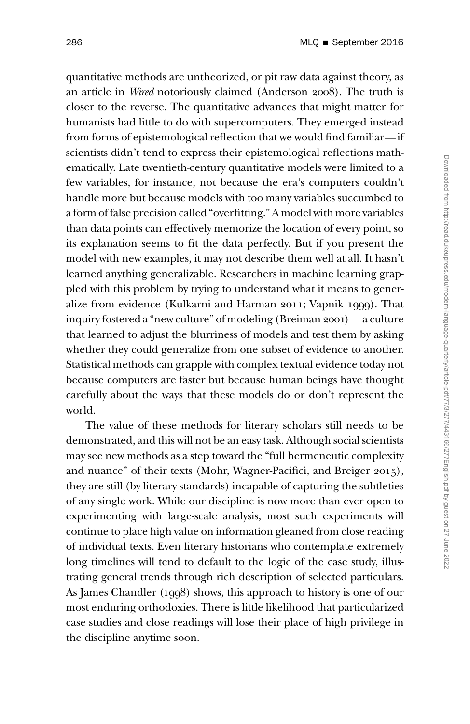quantitative methods are untheorized, or pit raw data against theory, as an article in Wired notoriously claimed (Anderson 2008). The truth is closer to the reverse. The quantitative advances that might matter for humanists had little to do with supercomputers. They emerged instead from forms of epistemological reflection that we would find familiar—if scientists didn't tend to express their epistemological reflections mathematically. Late twentieth-century quantitative models were limited to a few variables, for instance, not because the era's computers couldn't handle more but because models with too many variables succumbed to a form of false precision called "overfitting." A model with more variables than data points can effectively memorize the location of every point, so its explanation seems to fit the data perfectly. But if you present the model with new examples, it may not describe them well at all. It hasn't learned anything generalizable. Researchers in machine learning grappled with this problem by trying to understand what it means to generalize from evidence (Kulkarni and Harman 2011; Vapnik 1999). That inquiry fostered a "new culture" of modeling (Breiman 2001)—a culture that learned to adjust the blurriness of models and test them by asking whether they could generalize from one subset of evidence to another. Statistical methods can grapple with complex textual evidence today not because computers are faster but because human beings have thought carefully about the ways that these models do or don't represent the world.

The value of these methods for literary scholars still needs to be demonstrated, and this will not be an easy task. Although social scientists may see new methods as a step toward the "full hermeneutic complexity and nuance" of their texts (Mohr, Wagner-Pacifici, and Breiger 2015), they are still (by literary standards) incapable of capturing the subtleties of any single work. While our discipline is now more than ever open to experimenting with large-scale analysis, most such experiments will continue to place high value on information gleaned from close reading of individual texts. Even literary historians who contemplate extremely long timelines will tend to default to the logic of the case study, illustrating general trends through rich description of selected particulars. As James Chandler (1998) shows, this approach to history is one of our most enduring orthodoxies. There is little likelihood that particularized case studies and close readings will lose their place of high privilege in the discipline anytime soon.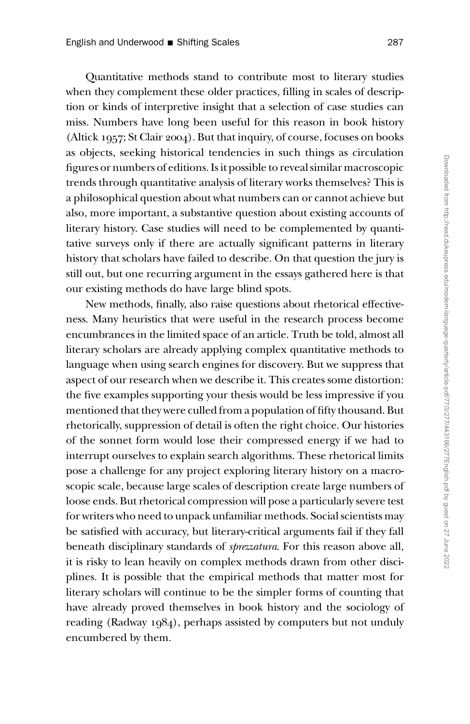Quantitative methods stand to contribute most to literary studies when they complement these older practices, filling in scales of description or kinds of interpretive insight that a selection of case studies can miss. Numbers have long been useful for this reason in book history (Altick 1957; St Clair 2004). But that inquiry, of course, focuses on books as objects, seeking historical tendencies in such things as circulation figures or numbers of editions. Is it possible to reveal similar macroscopic trends through quantitative analysis of literary works themselves? This is a philosophical question about what numbers can or cannot achieve but also, more important, a substantive question about existing accounts of literary history. Case studies will need to be complemented by quantitative surveys only if there are actually significant patterns in literary history that scholars have failed to describe. On that question the jury is still out, but one recurring argument in the essays gathered here is that our existing methods do have large blind spots.

New methods, finally, also raise questions about rhetorical effectiveness. Many heuristics that were useful in the research process become encumbrances in the limited space of an article. Truth be told, almost all literary scholars are already applying complex quantitative methods to language when using search engines for discovery. But we suppress that aspect of our research when we describe it. This creates some distortion: the five examples supporting your thesis would be less impressive if you mentioned that they were culled from a population of fifty thousand. But rhetorically, suppression of detail is often the right choice. Our histories of the sonnet form would lose their compressed energy if we had to interrupt ourselves to explain search algorithms. These rhetorical limits pose a challenge for any project exploring literary history on a macroscopic scale, because large scales of description create large numbers of loose ends. But rhetorical compression will pose a particularly severe test for writers who need to unpack unfamiliar methods. Social scientists may be satisfied with accuracy, but literary-critical arguments fail if they fall beneath disciplinary standards of *sprezzatura*. For this reason above all, it is risky to lean heavily on complex methods drawn from other disciplines. It is possible that the empirical methods that matter most for literary scholars will continue to be the simpler forms of counting that have already proved themselves in book history and the sociology of reading (Radway 1984), perhaps assisted by computers but not unduly encumbered by them.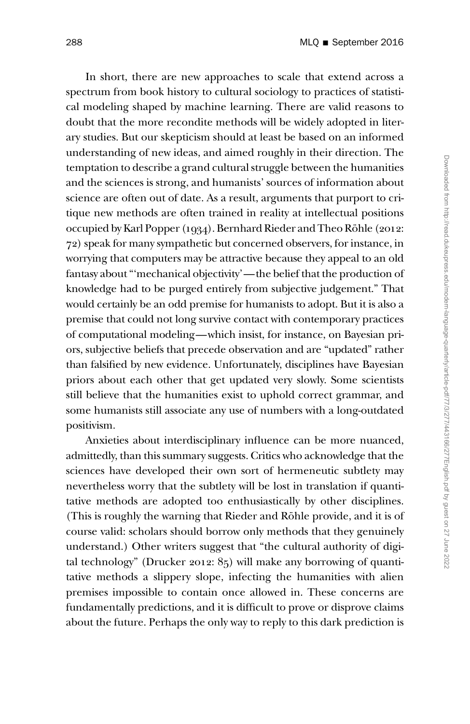In short, there are new approaches to scale that extend across a spectrum from book history to cultural sociology to practices of statistical modeling shaped by machine learning. There are valid reasons to doubt that the more recondite methods will be widely adopted in literary studies. But our skepticism should at least be based on an informed understanding of new ideas, and aimed roughly in their direction. The temptation to describe a grand cultural struggle between the humanities and the sciences is strong, and humanists' sources of information about science are often out of date. As a result, arguments that purport to critique new methods are often trained in reality at intellectual positions occupied by Karl Popper (1934). Bernhard Rieder and Theo Röhle (2012: 72) speak for many sympathetic but concerned observers, for instance, in worrying that computers may be attractive because they appeal to an old fantasy about"'mechanical objectivity'—the belief that the production of knowledge had to be purged entirely from subjective judgement." That would certainly be an odd premise for humanists to adopt. But it is also a premise that could not long survive contact with contemporary practices of computational modeling—which insist, for instance, on Bayesian priors, subjective beliefs that precede observation and are "updated" rather than falsified by new evidence. Unfortunately, disciplines have Bayesian priors about each other that get updated very slowly. Some scientists still believe that the humanities exist to uphold correct grammar, and some humanists still associate any use of numbers with a long-outdated positivism.

Anxieties about interdisciplinary influence can be more nuanced, admittedly, than this summary suggests. Critics who acknowledge that the sciences have developed their own sort of hermeneutic subtlety may nevertheless worry that the subtlety will be lost in translation if quantitative methods are adopted too enthusiastically by other disciplines. (This is roughly the warning that Rieder and Röhle provide, and it is of course valid: scholars should borrow only methods that they genuinely understand.) Other writers suggest that "the cultural authority of digital technology" (Drucker 2012: 85) will make any borrowing of quantitative methods a slippery slope, infecting the humanities with alien premises impossible to contain once allowed in. These concerns are fundamentally predictions, and it is difficult to prove or disprove claims about the future. Perhaps the only way to reply to this dark prediction is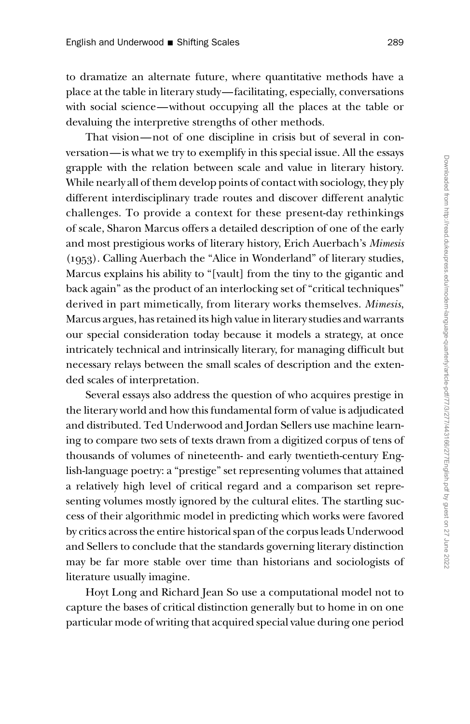to dramatize an alternate future, where quantitative methods have a place at the table in literary study—facilitating, especially, conversations with social science—without occupying all the places at the table or devaluing the interpretive strengths of other methods.

That vision—not of one discipline in crisis but of several in conversation—is what we try to exemplify in this special issue. All the essays grapple with the relation between scale and value in literary history. While nearly all of them develop points of contact with sociology, they ply different interdisciplinary trade routes and discover different analytic challenges. To provide a context for these present-day rethinkings of scale, Sharon Marcus offers a detailed description of one of the early and most prestigious works of literary history, Erich Auerbach's Mimesis (1953). Calling Auerbach the "Alice in Wonderland" of literary studies, Marcus explains his ability to "[vault] from the tiny to the gigantic and back again" as the product of an interlocking set of "critical techniques" derived in part mimetically, from literary works themselves. Mimesis, Marcus argues, has retained its high value in literary studies and warrants our special consideration today because it models a strategy, at once intricately technical and intrinsically literary, for managing difficult but necessary relays between the small scales of description and the extended scales of interpretation.

Several essays also address the question of who acquires prestige in the literary world and how this fundamental form of value is adjudicated and distributed. Ted Underwood and Jordan Sellers use machine learning to compare two sets of texts drawn from a digitized corpus of tens of thousands of volumes of nineteenth- and early twentieth-century English-language poetry: a "prestige" set representing volumes that attained a relatively high level of critical regard and a comparison set representing volumes mostly ignored by the cultural elites. The startling success of their algorithmic model in predicting which works were favored by critics across the entire historical span of the corpus leads Underwood and Sellers to conclude that the standards governing literary distinction may be far more stable over time than historians and sociologists of literature usually imagine.

Hoyt Long and Richard Jean So use a computational model not to capture the bases of critical distinction generally but to home in on one particular mode of writing that acquired special value during one period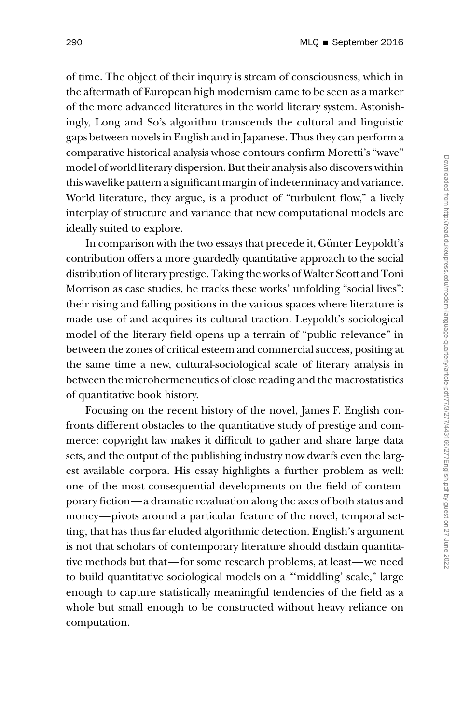of time. The object of their inquiry is stream of consciousness, which in the aftermath of European high modernism came to be seen as a marker of the more advanced literatures in the world literary system. Astonishingly, Long and So's algorithm transcends the cultural and linguistic gaps between novels in English and in Japanese. Thus they can perform a comparative historical analysis whose contours confirm Moretti's "wave" model of world literary dispersion. But their analysis also discovers within this wavelike pattern a significant margin of indeterminacy and variance. World literature, they argue, is a product of "turbulent flow," a lively interplay of structure and variance that new computational models are ideally suited to explore.

In comparison with the two essays that precede it, Günter Leypoldt's contribution offers a more guardedly quantitative approach to the social distribution of literary prestige. Taking the works of Walter Scott and Toni Morrison as case studies, he tracks these works' unfolding "social lives": their rising and falling positions in the various spaces where literature is made use of and acquires its cultural traction. Leypoldt's sociological model of the literary field opens up a terrain of "public relevance" in between the zones of critical esteem and commercial success, positing at the same time a new, cultural-sociological scale of literary analysis in between the microhermeneutics of close reading and the macrostatistics of quantitative book history.

Focusing on the recent history of the novel, James F. English confronts different obstacles to the quantitative study of prestige and commerce: copyright law makes it difficult to gather and share large data sets, and the output of the publishing industry now dwarfs even the largest available corpora. His essay highlights a further problem as well: one of the most consequential developments on the field of contemporary fiction—a dramatic revaluation along the axes of both status and money—pivots around a particular feature of the novel, temporal setting, that has thus far eluded algorithmic detection. English's argument is not that scholars of contemporary literature should disdain quantitative methods but that—for some research problems, at least—we need to build quantitative sociological models on a "'middling' scale," large enough to capture statistically meaningful tendencies of the field as a whole but small enough to be constructed without heavy reliance on computation.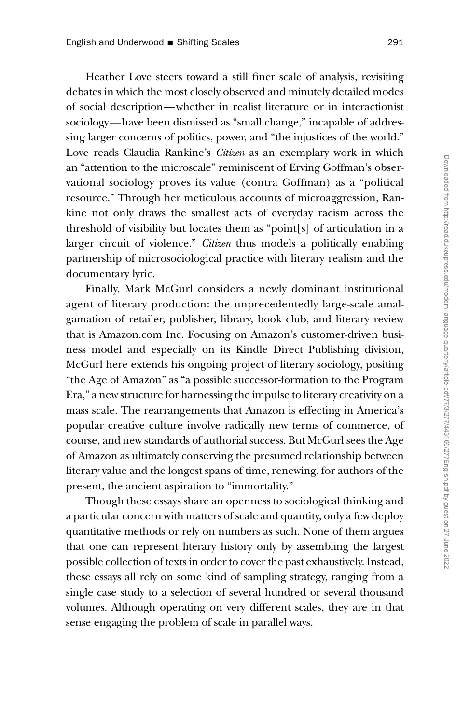Heather Love steers toward a still finer scale of analysis, revisiting debates in which the most closely observed and minutely detailed modes of social description—whether in realist literature or in interactionist sociology—have been dismissed as "small change," incapable of addressing larger concerns of politics, power, and "the injustices of the world." Love reads Claudia Rankine's *Citizen* as an exemplary work in which an "attention to the microscale" reminiscent of Erving Goffman's observational sociology proves its value (contra Goffman) as a "political resource." Through her meticulous accounts of microaggression, Rankine not only draws the smallest acts of everyday racism across the threshold of visibility but locates them as "point[s] of articulation in a larger circuit of violence." *Citizen* thus models a politically enabling partnership of microsociological practice with literary realism and the documentary lyric.

Finally, Mark McGurl considers a newly dominant institutional agent of literary production: the unprecedentedly large-scale amalgamation of retailer, publisher, library, book club, and literary review that is Amazon.com Inc. Focusing on Amazon's customer-driven business model and especially on its Kindle Direct Publishing division, McGurl here extends his ongoing project of literary sociology, positing "the Age of Amazon" as "a possible successor-formation to the Program Era," a new structure for harnessing the impulse to literary creativity on a mass scale. The rearrangements that Amazon is effecting in America's popular creative culture involve radically new terms of commerce, of course, and new standards of authorial success. But McGurl sees the Age of Amazon as ultimately conserving the presumed relationship between literary value and the longest spans of time, renewing, for authors of the present, the ancient aspiration to "immortality."

Though these essays share an openness to sociological thinking and a particular concern with matters of scale and quantity, only a few deploy quantitative methods or rely on numbers as such. None of them argues that one can represent literary history only by assembling the largest possible collection of texts in order to cover the past exhaustively. Instead, these essays all rely on some kind of sampling strategy, ranging from a single case study to a selection of several hundred or several thousand volumes. Although operating on very different scales, they are in that sense engaging the problem of scale in parallel ways.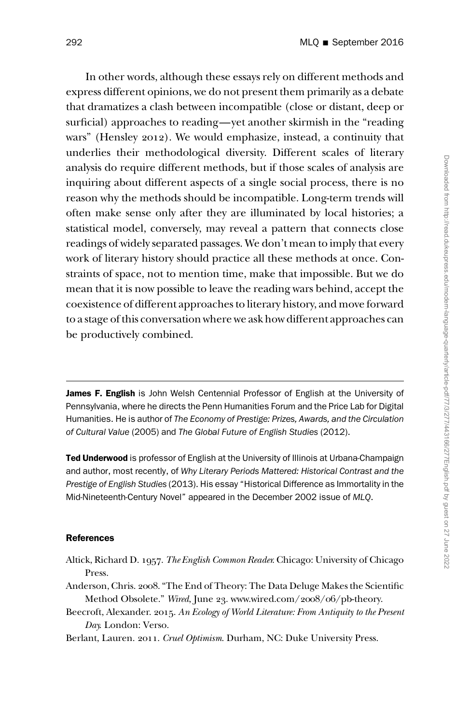In other words, although these essays rely on different methods and express different opinions, we do not present them primarily as a debate that dramatizes a clash between incompatible (close or distant, deep or surficial) approaches to reading—yet another skirmish in the "reading wars" (Hensley 2012). We would emphasize, instead, a continuity that underlies their methodological diversity. Different scales of literary analysis do require different methods, but if those scales of analysis are inquiring about different aspects of a single social process, there is no reason why the methods should be incompatible. Long-term trends will often make sense only after they are illuminated by local histories; a statistical model, conversely, may reveal a pattern that connects close readings of widely separated passages. We don't mean to imply that every work of literary history should practice all these methods at once. Constraints of space, not to mention time, make that impossible. But we do mean that it is now possible to leave the reading wars behind, accept the coexistence of different approaches to literary history, and move forward to a stage of this conversation where we ask how different approaches can be productively combined.

James F. English is John Welsh Centennial Professor of English at the University of Pennsylvania, where he directs the Penn Humanities Forum and the Price Lab for Digital Humanities. He is author of The Economy of Prestige: Prizes, Awards, and the Circulation of Cultural Value (2005) and The Global Future of English Studies (2012).

Ted Underwood is professor of English at the University of Illinois at Urbana-Champaign and author, most recently, of Why Literary Periods Mattered: Historical Contrast and the Prestige of English Studies (2013). His essay "Historical Difference as Immortality in the Mid-Nineteenth-Century Novel" appeared in the December 2002 issue of MLQ.

## References

- Altick, Richard D. 1957. The English Common Reader. Chicago: University of Chicago Press.
- Anderson, Chris. 2008."The End of Theory: The Data Deluge Makes the Scientific Method Obsolete." Wired, June 23. [www.wired.com/2008/06/pb-theory.](www.wired.com/2008/06/pb-theory)
- Beecroft, Alexander. 2015. An Ecology of World Literature: From Antiquity to the Present Day. London: Verso.
- Berlant, Lauren. 2011. Cruel Optimism. Durham, NC: Duke University Press.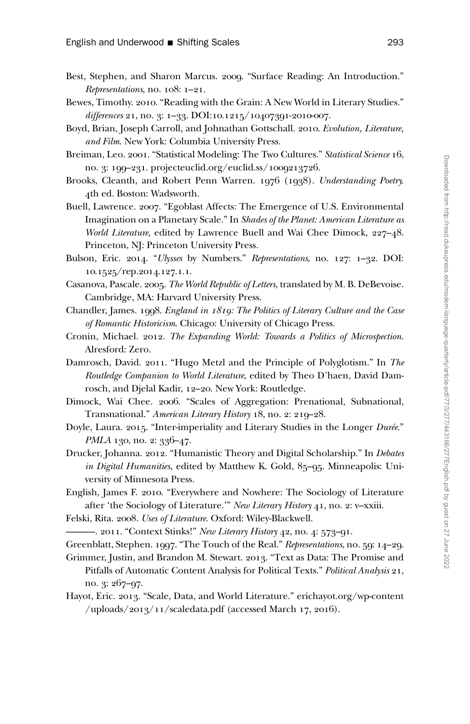- Best, Stephen, and Sharon Marcus. 2009. "Surface Reading: An Introduction." Representations, no. 108: 1–21.
- Bewes, Timothy. 2010. "Reading with the Grain: A New World in Literary Studies." differences 21, no. 3: 1-33. DOI:10.1215/10407301-2010-007.
- Boyd, Brian, Joseph Carroll, and Johnathan Gottschall. 2010. Evolution, Literature, and Film. New York: Columbia University Press.
- Breiman, Leo. 2001. "Statistical Modeling: The Two Cultures." Statistical Science 16, no. 3: 199–231. projecteuclid.org/euclid.ss/1009213726.
- Brooks, Cleanth, and Robert Penn Warren. 1976 (1938). Understanding Poetry. 4th ed. Boston: Wadsworth.
- Buell, Lawrence. 2007. "Egoblast Affects: The Emergence of U.S. Environmental Imagination on a Planetary Scale." In Shades of the Planet: American Literature as World Literature, edited by Lawrence Buell and Wai Chee Dimock, 227–48. Princeton, NJ: Princeton University Press.
- Bulson, Eric. 2014. "Ulysses by Numbers." Representations, no. 127: 1–32. DOI: 10.1525/rep.2014.127.1.1.
- Casanova, Pascale. 2005. The World Republic of Letters, translated by M. B. DeBevoise. Cambridge, MA: Harvard University Press.
- Chandler, James. 1998. England in 1819: The Politics of Literary Culture and the Case of Romantic Historicism. Chicago: University of Chicago Press.
- Cronin, Michael. 2012. The Expanding World: Towards a Politics of Microspection. Alresford: Zero.
- Damrosch, David. 2011. "Hugo Metzl and the Principle of Polyglotism." In The Routledge Companion to World Literature, edited by Theo D'haen, David Damrosch, and Djelal Kadir, 12–20. New York: Routledge.
- Dimock, Wai Chee. 2006. "Scales of Aggregation: Prenational, Subnational, Transnational." American Literary History 18, no. 2: 219–28.
- Doyle, Laura. 2015. "Inter-imperiality and Literary Studies in the Longer Durée." PMLA 130, no. 2: 336-47.
- Drucker, Johanna. 2012. "Humanistic Theory and Digital Scholarship." In Debates in Digital Humanities, edited by Matthew K. Gold, 85-95. Minneapolis: University of Minnesota Press.
- English, James F. 2010. "Everywhere and Nowhere: The Sociology of Literature after 'the Sociology of Literature.'" New Literary History 41, no. 2: v-xxiii.
- Felski, Rita. 2008. Uses of Literature. Oxford: Wiley-Blackwell.
- 2011. "Context Stinks!" New Literary History 42, no. 4: 573-91.
- Greenblatt, Stephen. 1997. "The Touch of the Real." Representations, no. 59: 14–29.
- Grimmer, Justin, and Brandon M. Stewart. 2013. "Text as Data: The Promise and Pitfalls of Automatic Content Analysis for Political Texts." Political Analysis 21, no. 3: 267–97.
- Hayot, Eric. 2013. "Scale, Data, and World Literature." erichayot.org/wp-content /uploads/2013/11/scaledata.pdf (accessed March 17, 2016).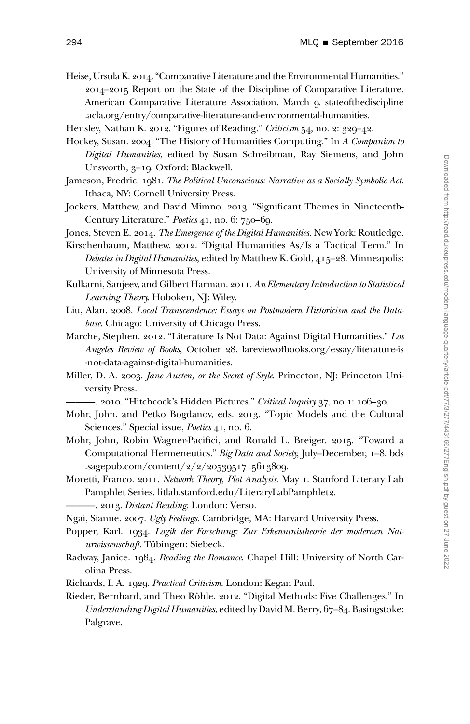- Heise, Ursula K. 2014."Comparative Literature and the Environmental Humanities." 2014–2015 Report on the State of the Discipline of Comparative Literature. American Comparative Literature Association. March 9. stateofthediscipline .acla.org/entry/comparative-literature-and-environmental-humanities.
- Hensley, Nathan K. 2012. "Figures of Reading." Criticism 54, no. 2: 329–42.
- Hockey, Susan. 2004. "The History of Humanities Computing." In A Companion to Digital Humanities, edited by Susan Schreibman, Ray Siemens, and John Unsworth, 3–19. Oxford: Blackwell.
- Jameson, Fredric. 1981. The Political Unconscious: Narrative as a Socially Symbolic Act. Ithaca, NY: Cornell University Press.
- Jockers, Matthew, and David Mimno. 2013. "Significant Themes in Nineteenth-Century Literature." Poetics 41, no. 6: 750–69.
- Jones, Steven E. 2014. The Emergence of the Digital Humanities. New York: Routledge.
- Kirschenbaum, Matthew. 2012. "Digital Humanities As/Is a Tactical Term." In Debates in Digital Humanities, edited by Matthew K. Gold, 415–28. Minneapolis: University of Minnesota Press.
- Kulkarni, Sanjeev, and Gilbert Harman. 2011. An Elementary Introduction to Statistical Learning Theory. Hoboken, NJ: Wiley.
- Liu, Alan. 2008. Local Transcendence: Essays on Postmodern Historicism and the Database. Chicago: University of Chicago Press.
- Marche, Stephen. 2012. "Literature Is Not Data: Against Digital Humanities." Los Angeles Review of Books, October 28. lareviewofbooks.org/essay/literature-is -not-data-against-digital-humanities.
- Miller, D. A. 2003. Jane Austen, or the Secret of Style. Princeton, NJ: Princeton University Press.

——. 2010. "Hitchcock's Hidden Pictures." Critical Inquiry 37, no 1: 106-30.

- Mohr, John, and Petko Bogdanov, eds. 2013. "Topic Models and the Cultural Sciences." Special issue, Poetics 41, no. 6.
- Mohr, John, Robin Wagner-Pacifici, and Ronald L. Breiger. 2015. "Toward a Computational Hermeneutics." Big Data and Society, July–December, 1–8. bds .sagepub.com/content/2/2/2053951715613809.
- Moretti, Franco. 2011. Network Theory, Plot Analysis. May 1. Stanford Literary Lab Pamphlet Series. litlab.stanford.edu/LiteraryLabPamphlet2.

Ngai, Sianne. 2007. Ugly Feelings. Cambridge, MA: Harvard University Press.

- Popper, Karl. 1934. Logik der Forschung: Zur Erkenntnistheorie der modernen Naturwissenschaft. Tübingen: Siebeck.
- Radway, Janice. 1984. Reading the Romance. Chapel Hill: University of North Carolina Press.
- Richards, I. A. 1929. Practical Criticism. London: Kegan Paul.
- Rieder, Bernhard, and Theo Röhle. 2012. "Digital Methods: Five Challenges." In Understanding Digital Humanities, edited by David M. Berry, 67–84. Basingstoke: Palgrave.

<sup>———</sup>. 2013. Distant Reading. London: Verso.